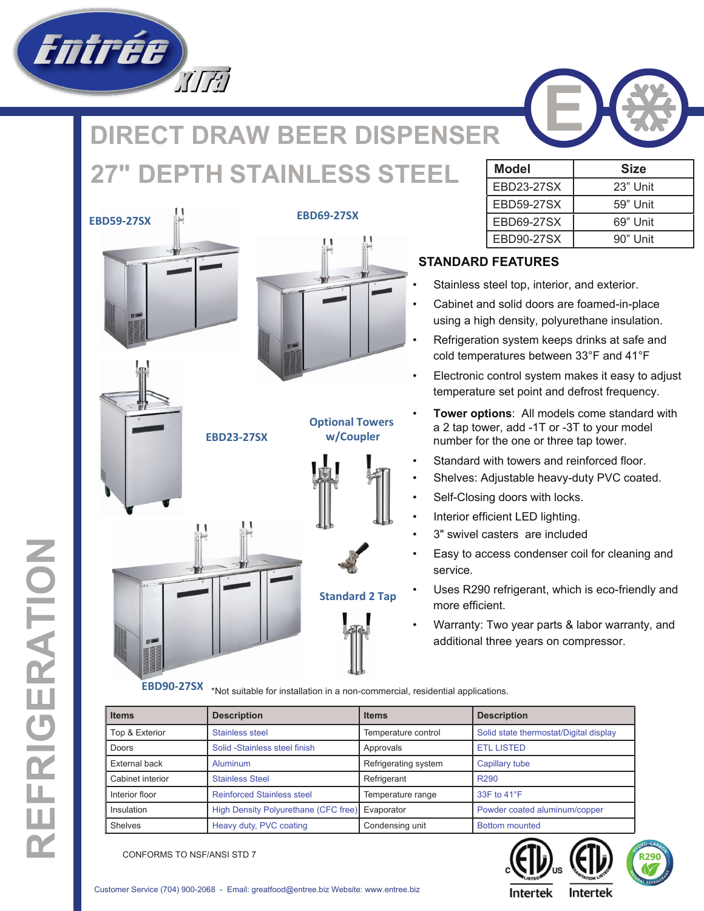

## **IRECT DRAW BEER DISPENSER**  $PTH$  **STAINLESS STEEL**







**EBD23-27SX w/Coupler**





**EBD69-27SX**



**Optional Towers**



**Standard 2 Tap**

| <b>Model</b>      | Size     |  |  |
|-------------------|----------|--|--|
| <b>EBD23-27SX</b> | 23" Unit |  |  |
| <b>EBD59-27SX</b> | 59" Unit |  |  |
| EBD69-27SX        | 69" Unit |  |  |
| EBD90-27SX        | 90" Unit |  |  |

## **STANDARD FEATURES**

- Stainless steel top, interior, and exterior.
- Cabinet and solid doors are foamed-in-place using a high density, polyurethane insulation.
- Refrigeration system keeps drinks at safe and cold temperatures between 33°F and 41°F
- Electronic control system makes it easy to adjust temperature set point and defrost frequency.
- **Tower options**: All models come standard with a 2 tap tower, add -1T or -3T to your model number for the one or three tap tower.
- Standard with towers and reinforced floor.
- Shelves: Adjustable heavy-duty PVC coated.
- Self-Closing doors with locks.
- Interior efficient LED lighting.
- 3" swivel casters are included
- Easy to access condenser coil for cleaning and service.
- Uses R290 refrigerant, which is eco-friendly and more efficient.
- Warranty: Two year parts & labor warranty, and additional three years on compressor.

\*Not suitable for installation in a non-commercial, residential applications. **EBD90-27SX**

| <b>Items</b>     | <b>Description</b>                   | <b>Items</b>         | <b>Description</b>                     |
|------------------|--------------------------------------|----------------------|----------------------------------------|
| Top & Exterior   | <b>Stainless steel</b>               | Temperature control  | Solid state thermostat/Digital display |
| Doors            | Solid -Stainless steel finish        | Approvals            | <b>ETL LISTED</b>                      |
| External back    | Aluminum                             | Refrigerating system | Capillary tube                         |
| Cabinet interior | <b>Stainless Steel</b>               | Refrigerant          | R <sub>290</sub>                       |
| Interior floor   | <b>Reinforced Stainless steel</b>    | Temperature range    | 33F to 41°F                            |
| Insulation       | High Density Polyurethane (CFC free) | Evaporator           | Powder coated aluminum/copper          |
| Shelves          | Heavy duty, PVC coating              | Condensing unit      | <b>Bottom mounted</b>                  |



CONFORMS TO NSF/ANSI STD 7